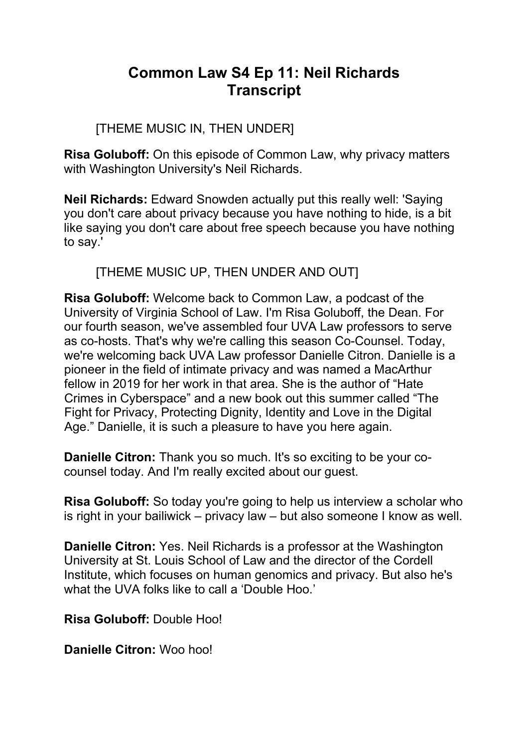# **Common Law S4 Ep 11: Neil Richards Transcript**

# [THEME MUSIC IN, THEN UNDER]

**Risa Goluboff:** On this episode of Common Law, why privacy matters with Washington University's Neil Richards.

**Neil Richards:** Edward Snowden actually put this really well: 'Saying you don't care about privacy because you have nothing to hide, is a bit like saying you don't care about free speech because you have nothing to say.'

[THEME MUSIC UP, THEN UNDER AND OUT]

**Risa Goluboff:** Welcome back to Common Law, a podcast of the University of Virginia School of Law. I'm Risa Goluboff, the Dean. For our fourth season, we've assembled four UVA Law professors to serve as co-hosts. That's why we're calling this season Co-Counsel. Today, we're welcoming back UVA Law professor Danielle Citron. Danielle is a pioneer in the field of intimate privacy and was named a MacArthur fellow in 2019 for her work in that area. She is the author of "Hate Crimes in Cyberspace" and a new book out this summer called "The Fight for Privacy, Protecting Dignity, Identity and Love in the Digital Age." Danielle, it is such a pleasure to have you here again.

**Danielle Citron:** Thank you so much. It's so exciting to be your cocounsel today. And I'm really excited about our guest.

**Risa Goluboff:** So today you're going to help us interview a scholar who is right in your bailiwick – privacy law – but also someone I know as well.

**Danielle Citron:** Yes. Neil Richards is a professor at the Washington University at St. Louis School of Law and the director of the Cordell Institute, which focuses on human genomics and privacy. But also he's what the UVA folks like to call a 'Double Hoo.'

**Risa Goluboff:** Double Hoo!

**Danielle Citron:** Woo hoo!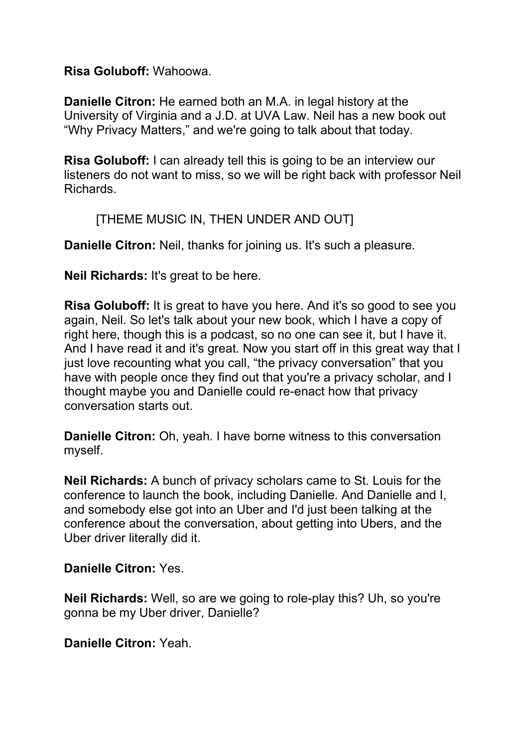#### **Risa Goluboff:** Wahoowa.

**Danielle Citron:** He earned both an M.A. in legal history at the University of Virginia and a J.D. at UVA Law. Neil has a new book out "Why Privacy Matters," and we're going to talk about that today.

**Risa Goluboff:** I can already tell this is going to be an interview our listeners do not want to miss, so we will be right back with professor Neil Richards.

### [THEME MUSIC IN, THEN UNDER AND OUT]

**Danielle Citron:** Neil, thanks for joining us. It's such a pleasure.

**Neil Richards:** It's great to be here.

**Risa Goluboff:** It is great to have you here. And it's so good to see you again, Neil. So let's talk about your new book, which I have a copy of right here, though this is a podcast, so no one can see it, but I have it. And I have read it and it's great. Now you start off in this great way that I just love recounting what you call, "the privacy conversation" that you have with people once they find out that you're a privacy scholar, and I thought maybe you and Danielle could re-enact how that privacy conversation starts out.

**Danielle Citron:** Oh, yeah. I have borne witness to this conversation myself.

**Neil Richards:** A bunch of privacy scholars came to St. Louis for the conference to launch the book, including Danielle. And Danielle and I, and somebody else got into an Uber and I'd just been talking at the conference about the conversation, about getting into Ubers, and the Uber driver literally did it.

### **Danielle Citron:** Yes.

**Neil Richards:** Well, so are we going to role-play this? Uh, so you're gonna be my Uber driver, Danielle?

**Danielle Citron:** Yeah.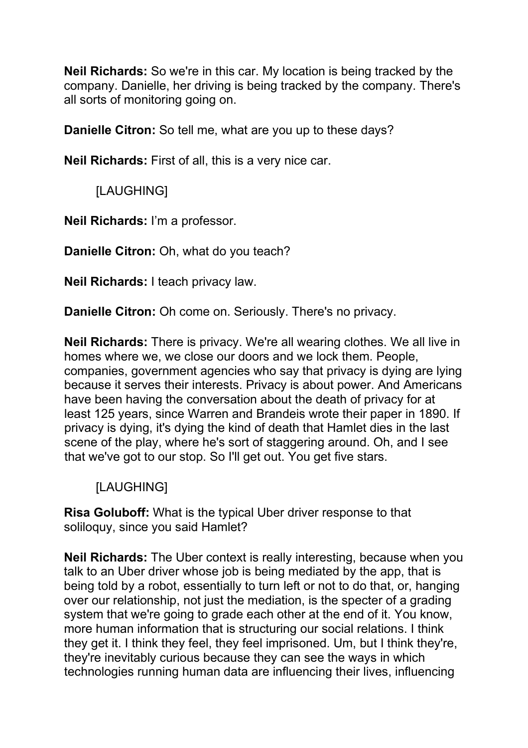**Neil Richards:** So we're in this car. My location is being tracked by the company. Danielle, her driving is being tracked by the company. There's all sorts of monitoring going on.

**Danielle Citron:** So tell me, what are you up to these days?

**Neil Richards:** First of all, this is a very nice car.

[LAUGHING]

**Neil Richards:** I'm a professor.

**Danielle Citron:** Oh, what do you teach?

**Neil Richards:** I teach privacy law.

**Danielle Citron:** Oh come on. Seriously. There's no privacy.

**Neil Richards:** There is privacy. We're all wearing clothes. We all live in homes where we, we close our doors and we lock them. People, companies, government agencies who say that privacy is dying are lying because it serves their interests. Privacy is about power. And Americans have been having the conversation about the death of privacy for at least 125 years, since Warren and Brandeis wrote their paper in 1890. If privacy is dying, it's dying the kind of death that Hamlet dies in the last scene of the play, where he's sort of staggering around. Oh, and I see that we've got to our stop. So I'll get out. You get five stars.

### [LAUGHING]

**Risa Goluboff:** What is the typical Uber driver response to that soliloquy, since you said Hamlet?

**Neil Richards:** The Uber context is really interesting, because when you talk to an Uber driver whose job is being mediated by the app, that is being told by a robot, essentially to turn left or not to do that, or, hanging over our relationship, not just the mediation, is the specter of a grading system that we're going to grade each other at the end of it. You know, more human information that is structuring our social relations. I think they get it. I think they feel, they feel imprisoned. Um, but I think they're, they're inevitably curious because they can see the ways in which technologies running human data are influencing their lives, influencing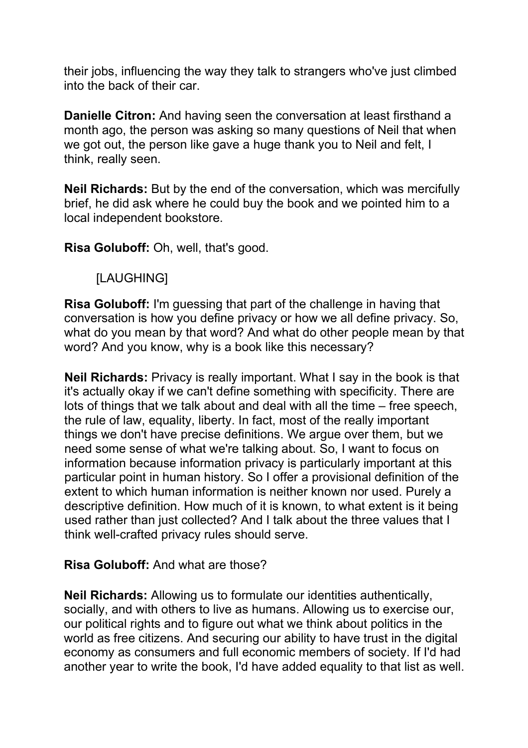their jobs, influencing the way they talk to strangers who've just climbed into the back of their car.

**Danielle Citron:** And having seen the conversation at least firsthand a month ago, the person was asking so many questions of Neil that when we got out, the person like gave a huge thank you to Neil and felt, I think, really seen.

**Neil Richards:** But by the end of the conversation, which was mercifully brief, he did ask where he could buy the book and we pointed him to a local independent bookstore.

**Risa Goluboff:** Oh, well, that's good.

### [LAUGHING]

**Risa Goluboff:** I'm guessing that part of the challenge in having that conversation is how you define privacy or how we all define privacy. So, what do you mean by that word? And what do other people mean by that word? And you know, why is a book like this necessary?

**Neil Richards:** Privacy is really important. What I say in the book is that it's actually okay if we can't define something with specificity. There are lots of things that we talk about and deal with all the time – free speech, the rule of law, equality, liberty. In fact, most of the really important things we don't have precise definitions. We argue over them, but we need some sense of what we're talking about. So, I want to focus on information because information privacy is particularly important at this particular point in human history. So I offer a provisional definition of the extent to which human information is neither known nor used. Purely a descriptive definition. How much of it is known, to what extent is it being used rather than just collected? And I talk about the three values that I think well-crafted privacy rules should serve.

### **Risa Goluboff:** And what are those?

**Neil Richards:** Allowing us to formulate our identities authentically, socially, and with others to live as humans. Allowing us to exercise our, our political rights and to figure out what we think about politics in the world as free citizens. And securing our ability to have trust in the digital economy as consumers and full economic members of society. If I'd had another year to write the book, I'd have added equality to that list as well.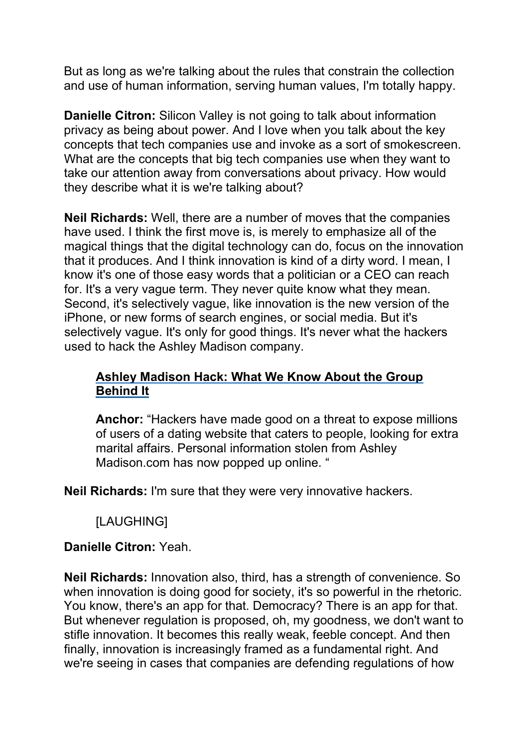But as long as we're talking about the rules that constrain the collection and use of human information, serving human values, I'm totally happy.

**Danielle Citron:** Silicon Valley is not going to talk about information privacy as being about power. And I love when you talk about the key concepts that tech companies use and invoke as a sort of smokescreen. What are the concepts that big tech companies use when they want to take our attention away from conversations about privacy. How would they describe what it is we're talking about?

**Neil Richards:** Well, there are a number of moves that the companies have used. I think the first move is, is merely to emphasize all of the magical things that the digital technology can do, focus on the innovation that it produces. And I think innovation is kind of a dirty word. I mean, I know it's one of those easy words that a politician or a CEO can reach for. It's a very vague term. They never quite know what they mean. Second, it's selectively vague, like innovation is the new version of the iPhone, or new forms of search engines, or social media. But it's selectively vague. It's only for good things. It's never what the hackers used to hack the Ashley Madison company.

### **Ashley Madison Hack: What We Know [About the Group](https://abcnews.go.com/Technology/ashley-madison-hack-group/story?id=33210317) [Behind](https://abcnews.go.com/Technology/ashley-madison-hack-group/story?id=33210317) It**

**Anchor:** "Hackers have made good on a threat to expose millions of users of a dating website that caters to people, looking for extra marital affairs. Personal information stolen from Ashley Madison.com has now popped up online. "

**Neil Richards:** I'm sure that they were very innovative hackers.

[LAUGHING]

### **Danielle Citron:** Yeah.

**Neil Richards:** Innovation also, third, has a strength of convenience. So when innovation is doing good for society, it's so powerful in the rhetoric. You know, there's an app for that. Democracy? There is an app for that. But whenever regulation is proposed, oh, my goodness, we don't want to stifle innovation. It becomes this really weak, feeble concept. And then finally, innovation is increasingly framed as a fundamental right. And we're seeing in cases that companies are defending regulations of how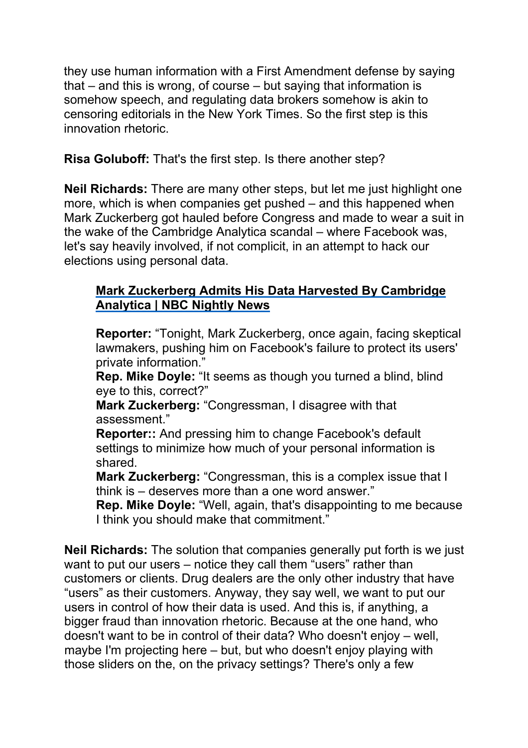they use human information with a First Amendment defense by saying that – and this is wrong, of course – but saying that information is somehow speech, and regulating data brokers somehow is akin to censoring editorials in the New York Times. So the first step is this innovation rhetoric.

**Risa Goluboff:** That's the first step. Is there another step?

**Neil Richards:** There are many other steps, but let me just highlight one more, which is when companies get pushed – and this happened when Mark Zuckerberg got hauled before Congress and made to wear a suit in the wake of the Cambridge Analytica scandal – where Facebook was, let's say heavily involved, if not complicit, in an attempt to hack our elections using personal data.

# **Mark [Zuckerberg](https://www.youtube.com/watch?v=E-sMKNVAjcI) Admits His Data Harvested By Cambridge [Analytica | NBC](https://www.youtube.com/watch?v=E-sMKNVAjcI) Nightly News**

**Reporter:** "Tonight, Mark Zuckerberg, once again, facing skeptical lawmakers, pushing him on Facebook's failure to protect its users' private information."

**Rep. Mike Doyle:** "It seems as though you turned a blind, blind eye to this, correct?"

**Mark Zuckerberg:** "Congressman, I disagree with that assessment."

**Reporter::** And pressing him to change Facebook's default settings to minimize how much of your personal information is shared.

**Mark Zuckerberg:** "Congressman, this is a complex issue that I think is – deserves more than a one word answer."

**Rep. Mike Doyle:** "Well, again, that's disappointing to me because I think you should make that commitment."

**Neil Richards:** The solution that companies generally put forth is we just want to put our users – notice they call them "users" rather than customers or clients. Drug dealers are the only other industry that have "users" as their customers. Anyway, they say well, we want to put our users in control of how their data is used. And this is, if anything, a bigger fraud than innovation rhetoric. Because at the one hand, who doesn't want to be in control of their data? Who doesn't enjoy – well, maybe I'm projecting here – but, but who doesn't enjoy playing with those sliders on the, on the privacy settings? There's only a few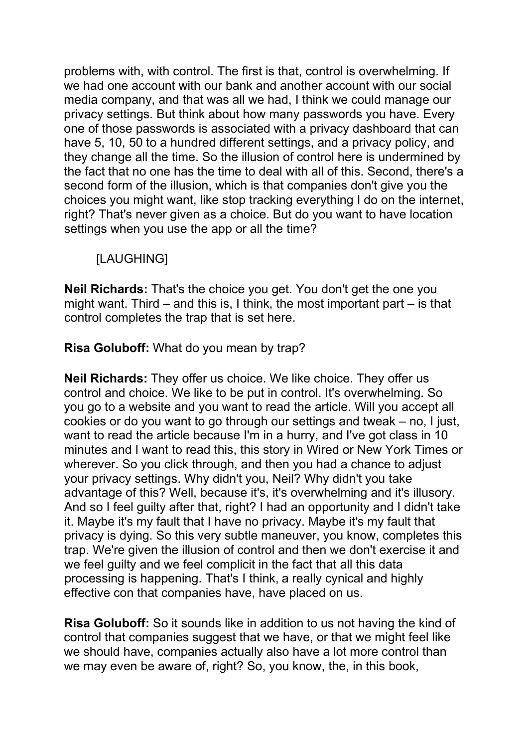problems with, with control. The first is that, control is overwhelming. If we had one account with our bank and another account with our social media company, and that was all we had, I think we could manage our privacy settings. But think about how many passwords you have. Every one of those passwords is associated with a privacy dashboard that can have 5, 10, 50 to a hundred different settings, and a privacy policy, and they change all the time. So the illusion of control here is undermined by the fact that no one has the time to deal with all of this. Second, there's a second form of the illusion, which is that companies don't give you the choices you might want, like stop tracking everything I do on the internet, right? That's never given as a choice. But do you want to have location settings when you use the app or all the time?

# [LAUGHING]

**Neil Richards:** That's the choice you get. You don't get the one you might want. Third – and this is, I think, the most important part – is that control completes the trap that is set here.

**Risa Goluboff:** What do you mean by trap?

**Neil Richards:** They offer us choice. We like choice. They offer us control and choice. We like to be put in control. It's overwhelming. So you go to a website and you want to read the article. Will you accept all cookies or do you want to go through our settings and tweak – no, I just, want to read the article because I'm in a hurry, and I've got class in 10 minutes and I want to read this, this story in Wired or New York Times or wherever. So you click through, and then you had a chance to adjust your privacy settings. Why didn't you, Neil? Why didn't you take advantage of this? Well, because it's, it's overwhelming and it's illusory. And so I feel guilty after that, right? I had an opportunity and I didn't take it. Maybe it's my fault that I have no privacy. Maybe it's my fault that privacy is dying. So this very subtle maneuver, you know, completes this trap. We're given the illusion of control and then we don't exercise it and we feel guilty and we feel complicit in the fact that all this data processing is happening. That's I think, a really cynical and highly effective con that companies have, have placed on us.

**Risa Goluboff:** So it sounds like in addition to us not having the kind of control that companies suggest that we have, or that we might feel like we should have, companies actually also have a lot more control than we may even be aware of, right? So, you know, the, in this book,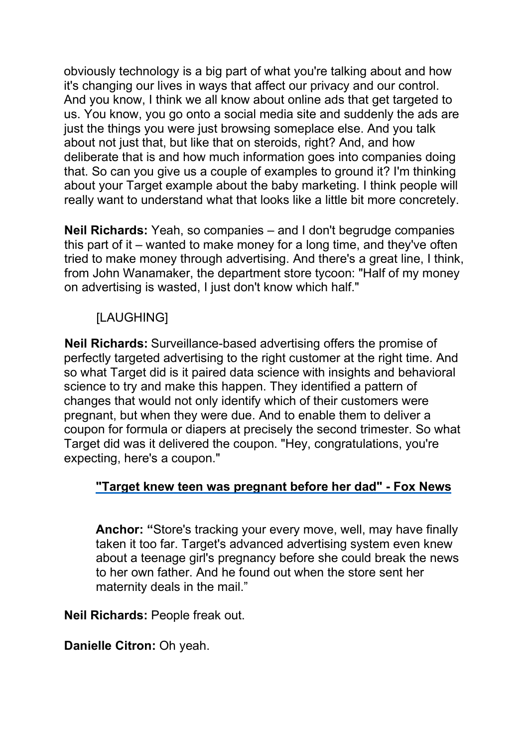obviously technology is a big part of what you're talking about and how it's changing our lives in ways that affect our privacy and our control. And you know, I think we all know about online ads that get targeted to us. You know, you go onto a social media site and suddenly the ads are just the things you were just browsing someplace else. And you talk about not just that, but like that on steroids, right? And, and how deliberate that is and how much information goes into companies doing that. So can you give us a couple of examples to ground it? I'm thinking about your Target example about the baby marketing. I think people will really want to understand what that looks like a little bit more concretely.

**Neil Richards:** Yeah, so companies – and I don't begrudge companies this part of it – wanted to make money for a long time, and they've often tried to make money through advertising. And there's a great line, I think, from John Wanamaker, the department store tycoon: "Half of my money on advertising is wasted, I just don't know which half."

# [LAUGHING]

**Neil Richards:** Surveillance-based advertising offers the promise of perfectly targeted advertising to the right customer at the right time. And so what Target did is it paired data science with insights and behavioral science to try and make this happen. They identified a pattern of changes that would not only identify which of their customers were pregnant, but when they were due. And to enable them to deliver a coupon for formula or diapers at precisely the second trimester. So what Target did was it delivered the coupon. "Hey, congratulations, you're expecting, here's a coupon."

### **"Target knew teen was pregnant before her [dad" - Fox](https://www.youtube.com/watch?v=CxjZ7Ikjaqc) News**

**Anchor: "**Store's tracking your every move, well, may have finally taken it too far. Target's advanced advertising system even knew about a teenage girl's pregnancy before she could break the news to her own father. And he found out when the store sent her maternity deals in the mail."

**Neil Richards:** People freak out.

**Danielle Citron:** Oh yeah.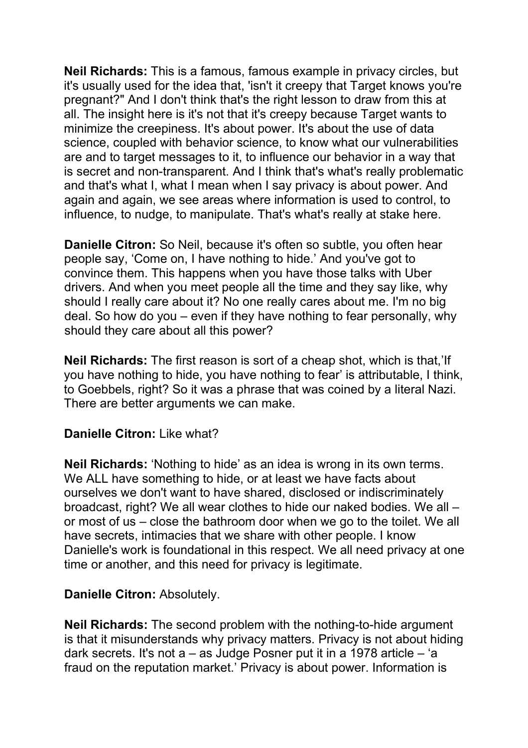**Neil Richards:** This is a famous, famous example in privacy circles, but it's usually used for the idea that, 'isn't it creepy that Target knows you're pregnant?" And I don't think that's the right lesson to draw from this at all. The insight here is it's not that it's creepy because Target wants to minimize the creepiness. It's about power. It's about the use of data science, coupled with behavior science, to know what our vulnerabilities are and to target messages to it, to influence our behavior in a way that is secret and non-transparent. And I think that's what's really problematic and that's what I, what I mean when I say privacy is about power. And again and again, we see areas where information is used to control, to influence, to nudge, to manipulate. That's what's really at stake here.

**Danielle Citron:** So Neil, because it's often so subtle, you often hear people say, 'Come on, I have nothing to hide.' And you've got to convince them. This happens when you have those talks with Uber drivers. And when you meet people all the time and they say like, why should I really care about it? No one really cares about me. I'm no big deal. So how do you – even if they have nothing to fear personally, why should they care about all this power?

**Neil Richards:** The first reason is sort of a cheap shot, which is that,'If you have nothing to hide, you have nothing to fear' is attributable, I think, to Goebbels, right? So it was a phrase that was coined by a literal Nazi. There are better arguments we can make.

### **Danielle Citron:** Like what?

**Neil Richards:** 'Nothing to hide' as an idea is wrong in its own terms. We ALL have something to hide, or at least we have facts about ourselves we don't want to have shared, disclosed or indiscriminately broadcast, right? We all wear clothes to hide our naked bodies. We all – or most of us – close the bathroom door when we go to the toilet. We all have secrets, intimacies that we share with other people. I know Danielle's work is foundational in this respect. We all need privacy at one time or another, and this need for privacy is legitimate.

#### **Danielle Citron:** Absolutely.

**Neil Richards:** The second problem with the nothing-to-hide argument is that it misunderstands why privacy matters. Privacy is not about hiding dark secrets. It's not a – as Judge Posner put it in a 1978 article – 'a fraud on the reputation market.' Privacy is about power. Information is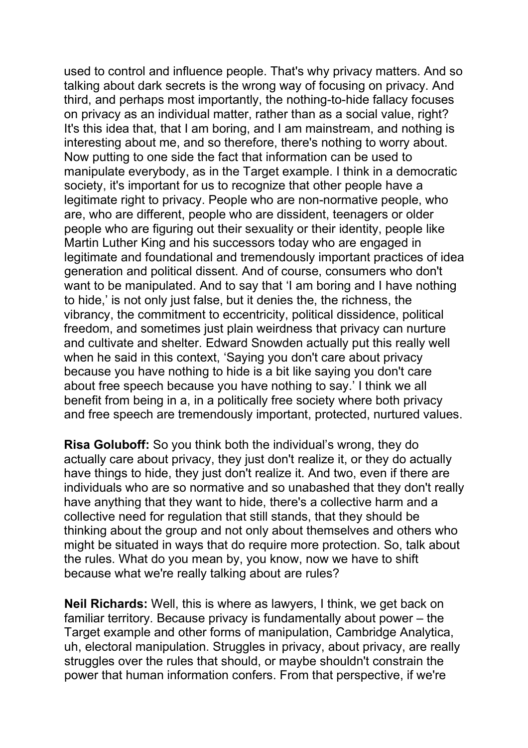used to control and influence people. That's why privacy matters. And so talking about dark secrets is the wrong way of focusing on privacy. And third, and perhaps most importantly, the nothing-to-hide fallacy focuses on privacy as an individual matter, rather than as a social value, right? It's this idea that, that I am boring, and I am mainstream, and nothing is interesting about me, and so therefore, there's nothing to worry about. Now putting to one side the fact that information can be used to manipulate everybody, as in the Target example. I think in a democratic society, it's important for us to recognize that other people have a legitimate right to privacy. People who are non-normative people, who are, who are different, people who are dissident, teenagers or older people who are figuring out their sexuality or their identity, people like Martin Luther King and his successors today who are engaged in legitimate and foundational and tremendously important practices of idea generation and political dissent. And of course, consumers who don't want to be manipulated. And to say that 'I am boring and I have nothing to hide,' is not only just false, but it denies the, the richness, the vibrancy, the commitment to eccentricity, political dissidence, political freedom, and sometimes just plain weirdness that privacy can nurture and cultivate and shelter. Edward Snowden actually put this really well when he said in this context, 'Saying you don't care about privacy because you have nothing to hide is a bit like saying you don't care about free speech because you have nothing to say.' I think we all benefit from being in a, in a politically free society where both privacy and free speech are tremendously important, protected, nurtured values.

**Risa Goluboff:** So you think both the individual's wrong, they do actually care about privacy, they just don't realize it, or they do actually have things to hide, they just don't realize it. And two, even if there are individuals who are so normative and so unabashed that they don't really have anything that they want to hide, there's a collective harm and a collective need for regulation that still stands, that they should be thinking about the group and not only about themselves and others who might be situated in ways that do require more protection. So, talk about the rules. What do you mean by, you know, now we have to shift because what we're really talking about are rules?

**Neil Richards:** Well, this is where as lawyers, I think, we get back on familiar territory. Because privacy is fundamentally about power – the Target example and other forms of manipulation, Cambridge Analytica, uh, electoral manipulation. Struggles in privacy, about privacy, are really struggles over the rules that should, or maybe shouldn't constrain the power that human information confers. From that perspective, if we're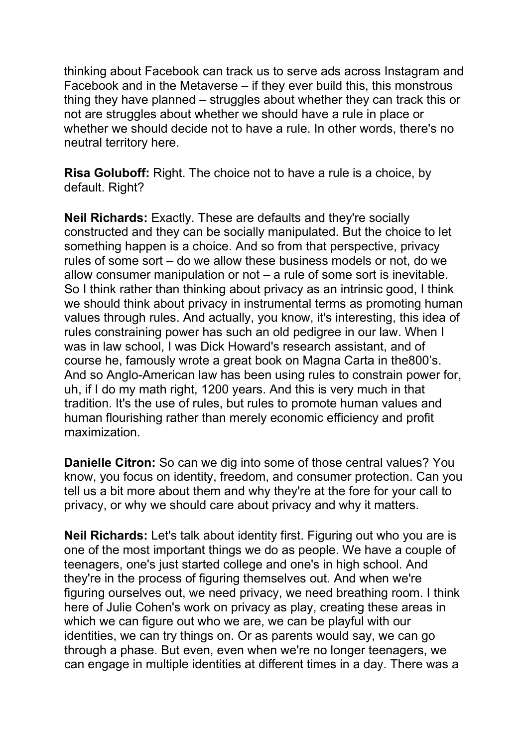thinking about Facebook can track us to serve ads across Instagram and Facebook and in the Metaverse – if they ever build this, this monstrous thing they have planned – struggles about whether they can track this or not are struggles about whether we should have a rule in place or whether we should decide not to have a rule. In other words, there's no neutral territory here.

**Risa Goluboff:** Right. The choice not to have a rule is a choice, by default. Right?

**Neil Richards:** Exactly. These are defaults and they're socially constructed and they can be socially manipulated. But the choice to let something happen is a choice. And so from that perspective, privacy rules of some sort – do we allow these business models or not, do we allow consumer manipulation or not – a rule of some sort is inevitable. So I think rather than thinking about privacy as an intrinsic good, I think we should think about privacy in instrumental terms as promoting human values through rules. And actually, you know, it's interesting, this idea of rules constraining power has such an old pedigree in our law. When I was in law school, I was Dick Howard's research assistant, and of course he, famously wrote a great book on Magna Carta in the800's. And so Anglo-American law has been using rules to constrain power for, uh, if I do my math right, 1200 years. And this is very much in that tradition. It's the use of rules, but rules to promote human values and human flourishing rather than merely economic efficiency and profit maximization.

**Danielle Citron:** So can we dig into some of those central values? You know, you focus on identity, freedom, and consumer protection. Can you tell us a bit more about them and why they're at the fore for your call to privacy, or why we should care about privacy and why it matters.

**Neil Richards:** Let's talk about identity first. Figuring out who you are is one of the most important things we do as people. We have a couple of teenagers, one's just started college and one's in high school. And they're in the process of figuring themselves out. And when we're figuring ourselves out, we need privacy, we need breathing room. I think here of Julie Cohen's work on privacy as play, creating these areas in which we can figure out who we are, we can be playful with our identities, we can try things on. Or as parents would say, we can go through a phase. But even, even when we're no longer teenagers, we can engage in multiple identities at different times in a day. There was a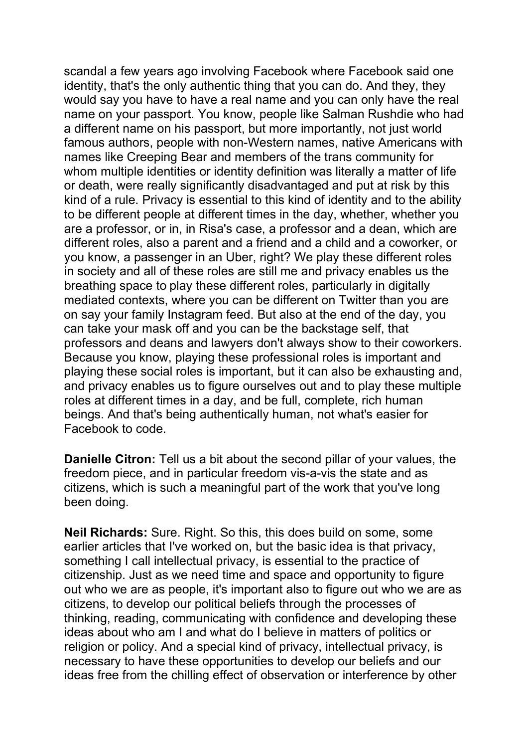scandal a few years ago involving Facebook where Facebook said one identity, that's the only authentic thing that you can do. And they, they would say you have to have a real name and you can only have the real name on your passport. You know, people like Salman Rushdie who had a different name on his passport, but more importantly, not just world famous authors, people with non-Western names, native Americans with names like Creeping Bear and members of the trans community for whom multiple identities or identity definition was literally a matter of life or death, were really significantly disadvantaged and put at risk by this kind of a rule. Privacy is essential to this kind of identity and to the ability to be different people at different times in the day, whether, whether you are a professor, or in, in Risa's case, a professor and a dean, which are different roles, also a parent and a friend and a child and a coworker, or you know, a passenger in an Uber, right? We play these different roles in society and all of these roles are still me and privacy enables us the breathing space to play these different roles, particularly in digitally mediated contexts, where you can be different on Twitter than you are on say your family Instagram feed. But also at the end of the day, you can take your mask off and you can be the backstage self, that professors and deans and lawyers don't always show to their coworkers. Because you know, playing these professional roles is important and playing these social roles is important, but it can also be exhausting and, and privacy enables us to figure ourselves out and to play these multiple roles at different times in a day, and be full, complete, rich human beings. And that's being authentically human, not what's easier for Facebook to code.

**Danielle Citron:** Tell us a bit about the second pillar of your values, the freedom piece, and in particular freedom vis-a-vis the state and as citizens, which is such a meaningful part of the work that you've long been doing.

**Neil Richards:** Sure. Right. So this, this does build on some, some earlier articles that I've worked on, but the basic idea is that privacy, something I call intellectual privacy, is essential to the practice of citizenship. Just as we need time and space and opportunity to figure out who we are as people, it's important also to figure out who we are as citizens, to develop our political beliefs through the processes of thinking, reading, communicating with confidence and developing these ideas about who am I and what do I believe in matters of politics or religion or policy. And a special kind of privacy, intellectual privacy, is necessary to have these opportunities to develop our beliefs and our ideas free from the chilling effect of observation or interference by other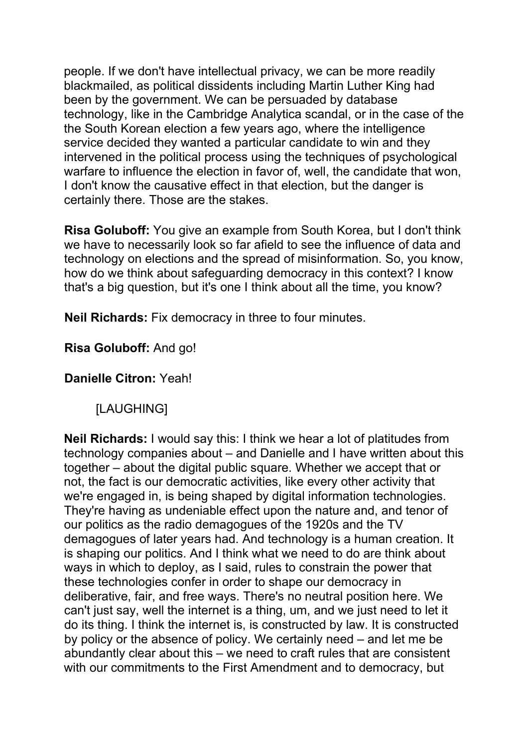people. If we don't have intellectual privacy, we can be more readily blackmailed, as political dissidents including Martin Luther King had been by the government. We can be persuaded by database technology, like in the Cambridge Analytica scandal, or in the case of the the South Korean election a few years ago, where the intelligence service decided they wanted a particular candidate to win and they intervened in the political process using the techniques of psychological warfare to influence the election in favor of, well, the candidate that won, I don't know the causative effect in that election, but the danger is certainly there. Those are the stakes.

**Risa Goluboff:** You give an example from South Korea, but I don't think we have to necessarily look so far afield to see the influence of data and technology on elections and the spread of misinformation. So, you know, how do we think about safeguarding democracy in this context? I know that's a big question, but it's one I think about all the time, you know?

**Neil Richards:** Fix democracy in three to four minutes.

**Risa Goluboff:** And go!

**Danielle Citron:** Yeah!

[LAUGHING]

**Neil Richards:** I would say this: I think we hear a lot of platitudes from technology companies about – and Danielle and I have written about this together – about the digital public square. Whether we accept that or not, the fact is our democratic activities, like every other activity that we're engaged in, is being shaped by digital information technologies. They're having as undeniable effect upon the nature and, and tenor of our politics as the radio demagogues of the 1920s and the TV demagogues of later years had. And technology is a human creation. It is shaping our politics. And I think what we need to do are think about ways in which to deploy, as I said, rules to constrain the power that these technologies confer in order to shape our democracy in deliberative, fair, and free ways. There's no neutral position here. We can't just say, well the internet is a thing, um, and we just need to let it do its thing. I think the internet is, is constructed by law. It is constructed by policy or the absence of policy. We certainly need – and let me be abundantly clear about this – we need to craft rules that are consistent with our commitments to the First Amendment and to democracy, but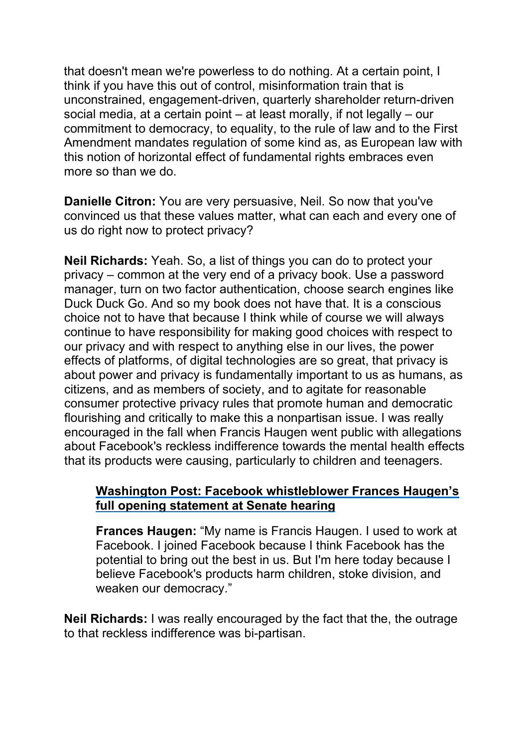that doesn't mean we're powerless to do nothing. At a certain point, I think if you have this out of control, misinformation train that is unconstrained, engagement-driven, quarterly shareholder return-driven social media, at a certain point – at least morally, if not legally – our commitment to democracy, to equality, to the rule of law and to the First Amendment mandates regulation of some kind as, as European law with this notion of horizontal effect of fundamental rights embraces even more so than we do.

**Danielle Citron:** You are very persuasive, Neil. So now that you've convinced us that these values matter, what can each and every one of us do right now to protect privacy?

**Neil Richards:** Yeah. So, a list of things you can do to protect your privacy – common at the very end of a privacy book. Use a password manager, turn on two factor authentication, choose search engines like Duck Duck Go. And so my book does not have that. It is a conscious choice not to have that because I think while of course we will always continue to have responsibility for making good choices with respect to our privacy and with respect to anything else in our lives, the power effects of platforms, of digital technologies are so great, that privacy is about power and privacy is fundamentally important to us as humans, as citizens, and as members of society, and to agitate for reasonable consumer protective privacy rules that promote human and democratic flourishing and critically to make this a nonpartisan issue. I was really encouraged in the fall when Francis Haugen went public with allegations about Facebook's reckless indifference towards the mental health effects that its products were causing, particularly to children and teenagers.

#### **Washington Post: Facebook [whistleblower](https://www.youtube.com/watch?v=tLT1mq2u4h4) Frances Haugen's full opening [statement at Senate hearing](https://www.youtube.com/watch?v=tLT1mq2u4h4)**

**Frances Haugen:** "My name is Francis Haugen. I used to work at Facebook. I joined Facebook because I think Facebook has the potential to bring out the best in us. But I'm here today because I believe Facebook's products harm children, stoke division, and weaken our democracy."

**Neil Richards:** I was really encouraged by the fact that the, the outrage to that reckless indifference was bi-partisan.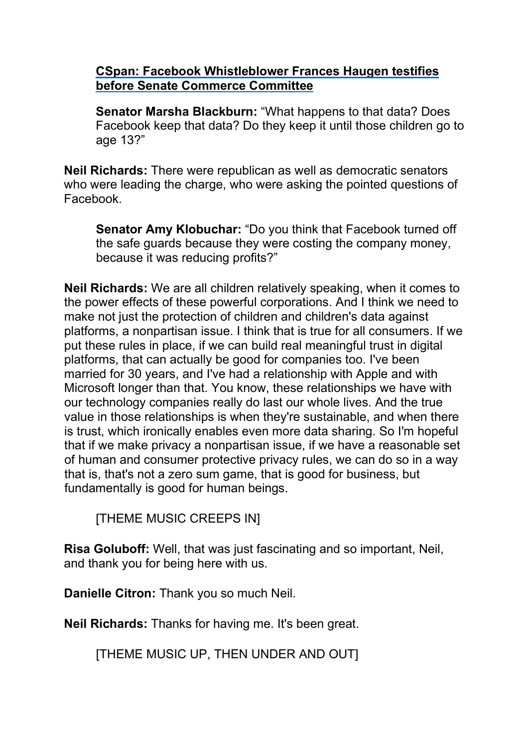#### **CSpan: Facebook [Whistleblower](https://www.youtube.com/watch?v=GOnpVQnv5Cw) Frances Haugen testifies [before Senate Commerce Committee](https://www.youtube.com/watch?v=GOnpVQnv5Cw)**

**Senator Marsha Blackburn:** "What happens to that data? Does Facebook keep that data? Do they keep it until those children go to age 13?"

**Neil Richards:** There were republican as well as democratic senators who were leading the charge, who were asking the pointed questions of Facebook.

**Senator Amy Klobuchar:** "Do you think that Facebook turned off the safe guards because they were costing the company money, because it was reducing profits?"

**Neil Richards:** We are all children relatively speaking, when it comes to the power effects of these powerful corporations. And I think we need to make not just the protection of children and children's data against platforms, a nonpartisan issue. I think that is true for all consumers. If we put these rules in place, if we can build real meaningful trust in digital platforms, that can actually be good for companies too. I've been married for 30 years, and I've had a relationship with Apple and with Microsoft longer than that. You know, these relationships we have with our technology companies really do last our whole lives. And the true value in those relationships is when they're sustainable, and when there is trust, which ironically enables even more data sharing. So I'm hopeful that if we make privacy a nonpartisan issue, if we have a reasonable set of human and consumer protective privacy rules, we can do so in a way that is, that's not a zero sum game, that is good for business, but fundamentally is good for human beings.

[THEME MUSIC CREEPS IN]

**Risa Goluboff:** Well, that was just fascinating and so important, Neil, and thank you for being here with us.

**Danielle Citron:** Thank you so much Neil.

**Neil Richards:** Thanks for having me. It's been great.

[THEME MUSIC UP, THEN UNDER AND OUT]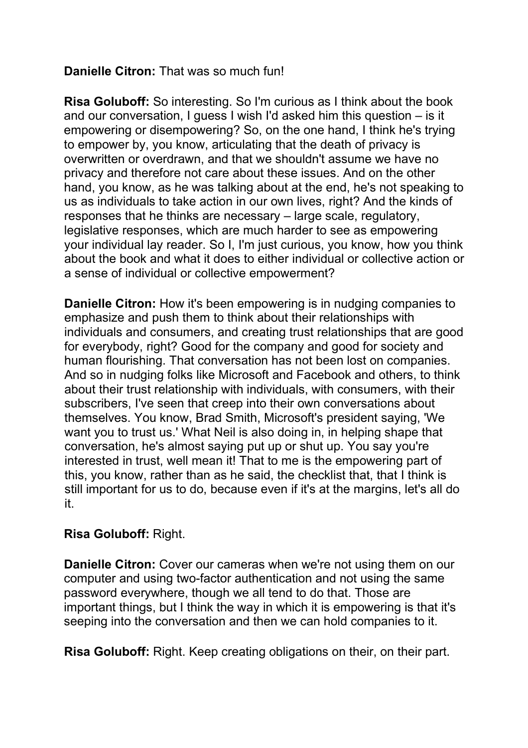### **Danielle Citron:** That was so much fun!

**Risa Goluboff:** So interesting. So I'm curious as I think about the book and our conversation, I guess I wish I'd asked him this question – is it empowering or disempowering? So, on the one hand, I think he's trying to empower by, you know, articulating that the death of privacy is overwritten or overdrawn, and that we shouldn't assume we have no privacy and therefore not care about these issues. And on the other hand, you know, as he was talking about at the end, he's not speaking to us as individuals to take action in our own lives, right? And the kinds of responses that he thinks are necessary – large scale, regulatory, legislative responses, which are much harder to see as empowering your individual lay reader. So I, I'm just curious, you know, how you think about the book and what it does to either individual or collective action or a sense of individual or collective empowerment?

**Danielle Citron:** How it's been empowering is in nudging companies to emphasize and push them to think about their relationships with individuals and consumers, and creating trust relationships that are good for everybody, right? Good for the company and good for society and human flourishing. That conversation has not been lost on companies. And so in nudging folks like Microsoft and Facebook and others, to think about their trust relationship with individuals, with consumers, with their subscribers, I've seen that creep into their own conversations about themselves. You know, Brad Smith, Microsoft's president saying, 'We want you to trust us.' What Neil is also doing in, in helping shape that conversation, he's almost saying put up or shut up. You say you're interested in trust, well mean it! That to me is the empowering part of this, you know, rather than as he said, the checklist that, that I think is still important for us to do, because even if it's at the margins, let's all do it.

### **Risa Goluboff:** Right.

**Danielle Citron:** Cover our cameras when we're not using them on our computer and using two-factor authentication and not using the same password everywhere, though we all tend to do that. Those are important things, but I think the way in which it is empowering is that it's seeping into the conversation and then we can hold companies to it.

**Risa Goluboff:** Right. Keep creating obligations on their, on their part.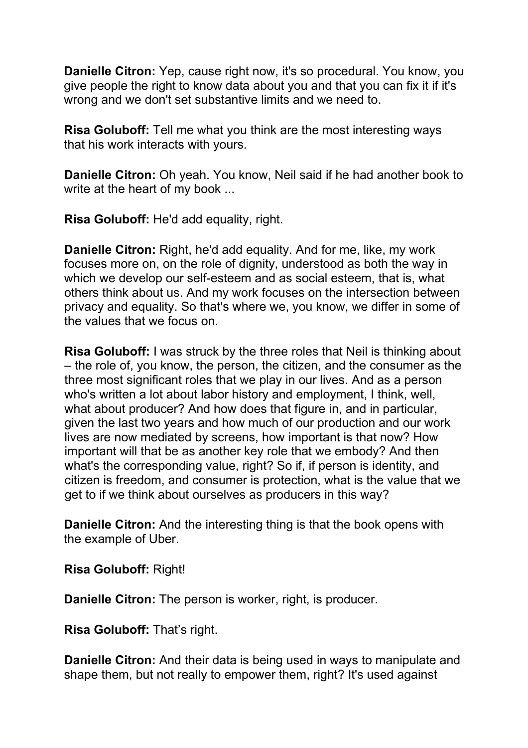**Danielle Citron:** Yep, cause right now, it's so procedural. You know, you give people the right to know data about you and that you can fix it if it's wrong and we don't set substantive limits and we need to.

**Risa Goluboff:** Tell me what you think are the most interesting ways that his work interacts with yours.

**Danielle Citron:** Oh yeah. You know, Neil said if he had another book to write at the heart of my book ...

**Risa Goluboff:** He'd add equality, right.

**Danielle Citron:** Right, he'd add equality. And for me, like, my work focuses more on, on the role of dignity, understood as both the way in which we develop our self-esteem and as social esteem, that is, what others think about us. And my work focuses on the intersection between privacy and equality. So that's where we, you know, we differ in some of the values that we focus on.

**Risa Goluboff:** I was struck by the three roles that Neil is thinking about – the role of, you know, the person, the citizen, and the consumer as the three most significant roles that we play in our lives. And as a person who's written a lot about labor history and employment, I think, well, what about producer? And how does that figure in, and in particular, given the last two years and how much of our production and our work lives are now mediated by screens, how important is that now? How important will that be as another key role that we embody? And then what's the corresponding value, right? So if, if person is identity, and citizen is freedom, and consumer is protection, what is the value that we get to if we think about ourselves as producers in this way?

**Danielle Citron:** And the interesting thing is that the book opens with the example of Uber.

**Risa Goluboff:** Right!

**Danielle Citron:** The person is worker, right, is producer.

**Risa Goluboff:** That's right.

**Danielle Citron:** And their data is being used in ways to manipulate and shape them, but not really to empower them, right? It's used against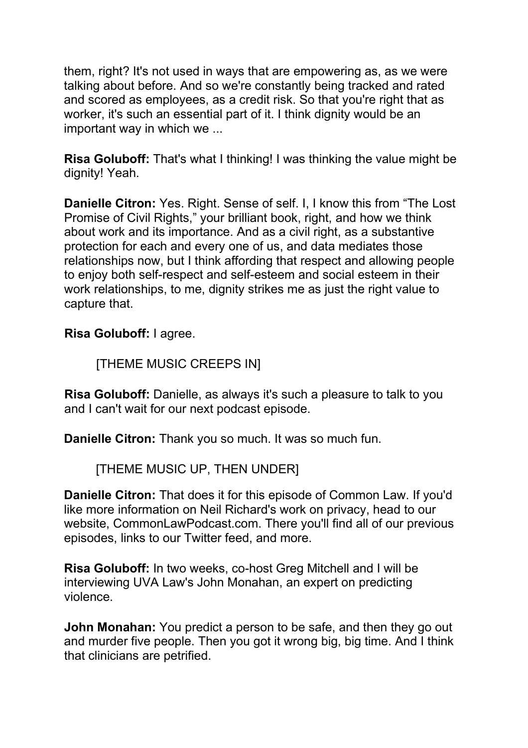them, right? It's not used in ways that are empowering as, as we were talking about before. And so we're constantly being tracked and rated and scored as employees, as a credit risk. So that you're right that as worker, it's such an essential part of it. I think dignity would be an important way in which we ...

**Risa Goluboff:** That's what I thinking! I was thinking the value might be dignity! Yeah.

**Danielle Citron:** Yes. Right. Sense of self. I, I know this from "The Lost Promise of Civil Rights," your brilliant book, right, and how we think about work and its importance. And as a civil right, as a substantive protection for each and every one of us, and data mediates those relationships now, but I think affording that respect and allowing people to enjoy both self-respect and self-esteem and social esteem in their work relationships, to me, dignity strikes me as just the right value to capture that.

**Risa Goluboff:** I agree.

[THEME MUSIC CREEPS IN]

**Risa Goluboff:** Danielle, as always it's such a pleasure to talk to you and I can't wait for our next podcast episode.

**Danielle Citron:** Thank you so much. It was so much fun.

[THEME MUSIC UP, THEN UNDER]

**Danielle Citron:** That does it for this episode of Common Law. If you'd like more information on Neil Richard's work on privacy, head to our website, CommonLawPodcast.com. There you'll find all of our previous episodes, links to our Twitter feed, and more.

**Risa Goluboff:** In two weeks, co-host Greg Mitchell and I will be interviewing UVA Law's John Monahan, an expert on predicting violence.

**John Monahan:** You predict a person to be safe, and then they go out and murder five people. Then you got it wrong big, big time. And I think that clinicians are petrified.